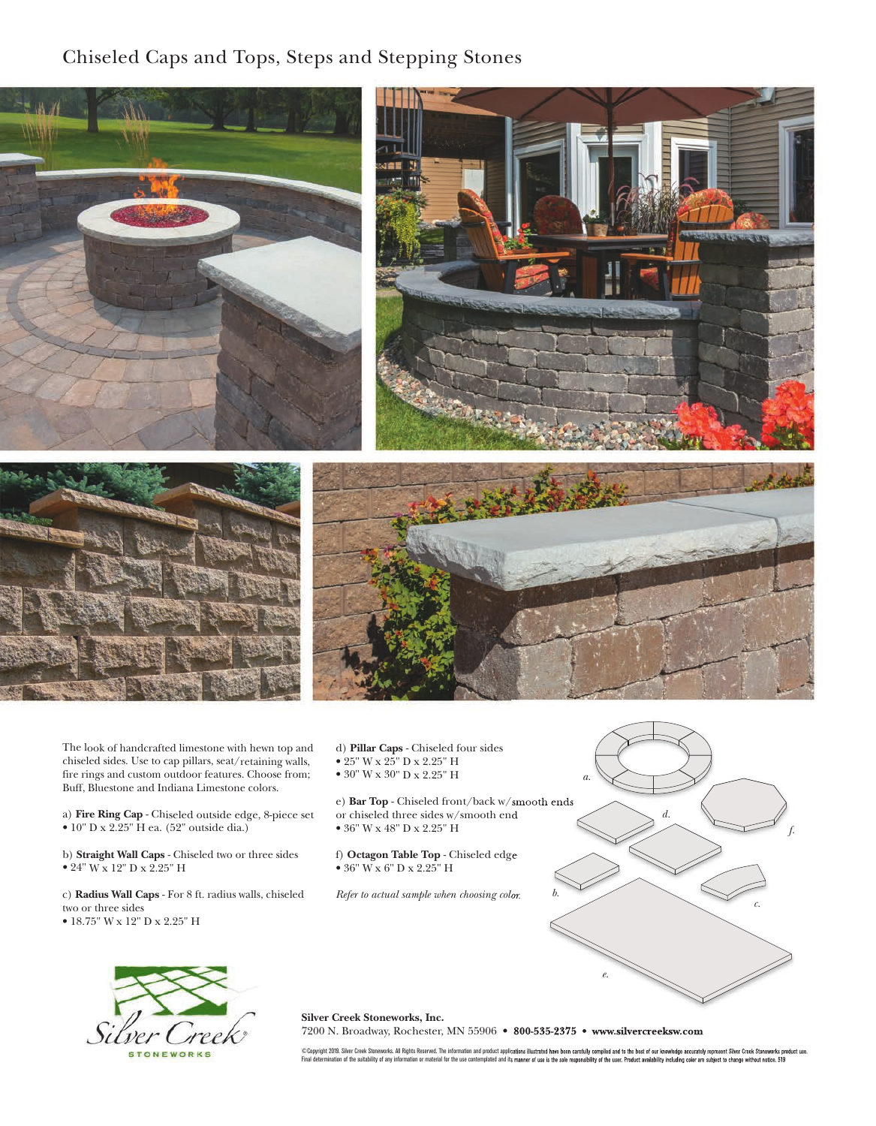Chiseled Caps and Tops, Steps and Stepping Stones



The look of handcrafted limestone with hewn top and chiseled sides. Use to cap pillars, seat/retaining walls, fire rings and custom outdoor features. Choose from; Buff, Bluestone and Indiana Limestone colors.

a) **Fire Ring Cap** - Chiseled outside edge, 8-piece set • 10" D x 2.25" H ea. (52" outside dia.)

b) **Straight Wall Caps** - Chiseled two or three sides • 24" W x 12" D x 2.25" H

c) **Radius Wall Caps** - For 8 ft. radius walls, chiseled two or three sides • 18.75" W x 12" D x 2.25" H

d) **Pillar Caps** - Chiseled four sides • 25" W x 25" D x 2.25" H

• 30" W x 30" D x 2.25" H

e) **Bar Top** - Chiseled front/back w/smooth ends or chiseled three sides w/smooth end • 36" W x 48" D x 2.25" H

f) **Octagon Table Top** - Chiseled edge • 36" W x 6" D x 2.25" H

*Refer to actual sample when choosing color.*





**Silver Creek Stoneworks, Inc.** 

7200 N. Broadway, Rochester, MN 55906 • **800-535-2375 • www.silvercreeksw.com** 

©Copyright 2019. Silver Creek Stoneworks. All Rights Reserved. The information and product applications illustrated have been carefully compiled and to the best of our knowledge accurately represent Silver Creek Stoneworks